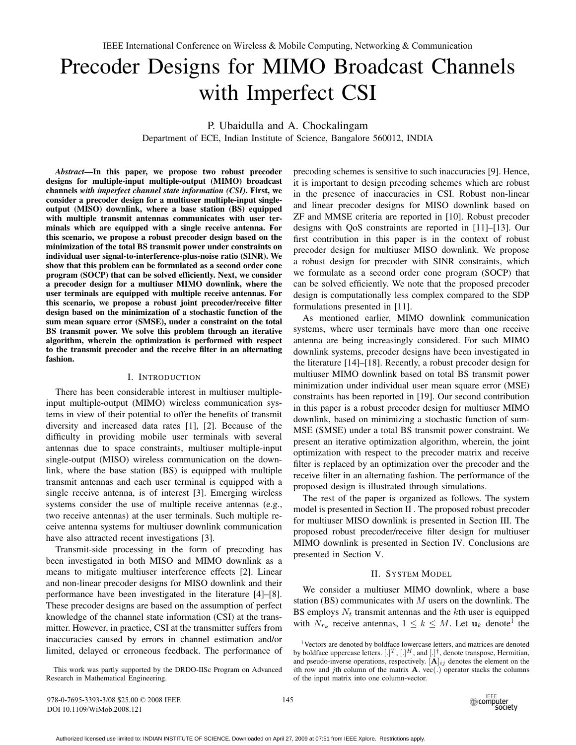# Precoder Designs for MIMO Broadcast Channels with Imperfect CSI

P. Ubaidulla and A. Chockalingam

Department of ECE, Indian Institute of Science, Bangalore 560012, INDIA

*Abstract***—In this paper, we propose two robust precoder designs for multiple-input multiple-output (MIMO) broadcast channels** *with imperfect channel state information (CSI)***. First, we consider a precoder design for a multiuser multiple-input singleoutput (MISO) downlink, where a base station (BS) equipped with multiple transmit antennas communicates with user terminals which are equipped with a single receive antenna. For this scenario, we propose a robust precoder design based on the minimization of the total BS transmit power under constraints on individual user signal-to-interference-plus-noise ratio (SINR). We show that this problem can be formulated as a second order cone program (SOCP) that can be solved efficiently. Next, we consider a precoder design for a multiuser MIMO downlink, where the user terminals are equipped with multiple receive antennas. For this scenario, we propose a robust joint precoder/receive filter design based on the minimization of a stochastic function of the sum mean square error (SMSE), under a constraint on the total BS transmit power. We solve this problem through an iterative algorithm, wherein the optimization is performed with respect to the transmit precoder and the receive filter in an alternating fashion.**

## I. INTRODUCTION

There has been considerable interest in multiuser multipleinput multiple-output (MIMO) wireless communication systems in view of their potential to offer the benefits of transmit diversity and increased data rates [1], [2]. Because of the difficulty in providing mobile user terminals with several antennas due to space constraints, multiuser multiple-input single-output (MISO) wireless communication on the downlink, where the base station (BS) is equipped with multiple transmit antennas and each user terminal is equipped with a single receive antenna, is of interest [3]. Emerging wireless systems consider the use of multiple receive antennas (e.g., two receive antennas) at the user terminals. Such multiple receive antenna systems for multiuser downlink communication have also attracted recent investigations [3].

Transmit-side processing in the form of precoding has been investigated in both MISO and MIMO downlink as a means to mitigate multiuser interference effects [2]. Linear and non-linear precoder designs for MISO downlink and their performance have been investigated in the literature [4]–[8]. These precoder designs are based on the assumption of perfect knowledge of the channel state information (CSI) at the transmitter. However, in practice, CSI at the transmitter suffers from inaccuracies caused by errors in channel estimation and/or limited, delayed or erroneous feedback. The performance of

This work was partly supported by the DRDO-IISc Program on Advanced Research in Mathematical Engineering.

precoding schemes is sensitive to such inaccuracies [9]. Hence, it is important to design precoding schemes which are robust in the presence of inaccuracies in CSI. Robust non-linear and linear precoder designs for MISO downlink based on ZF and MMSE criteria are reported in [10]. Robust precoder designs with QoS constraints are reported in [11]–[13]. Our first contribution in this paper is in the context of robust precoder design for multiuser MISO downlink. We propose a robust design for precoder with SINR constraints, which we formulate as a second order cone program (SOCP) that can be solved efficiently. We note that the proposed precoder design is computationally less complex compared to the SDP formulations presented in [11].

As mentioned earlier, MIMO downlink communication systems, where user terminals have more than one receive antenna are being increasingly considered. For such MIMO downlink systems, precoder designs have been investigated in the literature [14]–[18]. Recently, a robust precoder design for multiuser MIMO downlink based on total BS transmit power minimization under individual user mean square error (MSE) constraints has been reported in [19]. Our second contribution in this paper is a robust precoder design for multiuser MIMO downlink, based on minimizing a stochastic function of sum-MSE (SMSE) under a total BS transmit power constraint. We present an iterative optimization algorithm, wherein, the joint optimization with respect to the precoder matrix and receive filter is replaced by an optimization over the precoder and the receive filter in an alternating fashion. The performance of the proposed design is illustrated through simulations.

The rest of the paper is organized as follows. The system model is presented in Section II . The proposed robust precoder for multiuser MISO downlink is presented in Section III. The proposed robust precoder/receive filter design for multiuser MIMO downlink is presented in Section IV. Conclusions are presented in Section V.

## II. SYSTEM MODEL

We consider a multiuser MIMO downlink, where a base station (BS) communicates with  $M$  users on the downlink. The BS employs  $N_t$  transmit antennas and the kth user is equipped with  $N_{r_k}$  receive antennas,  $1 \leq k \leq M$ . Let  $\mathbf{u}_k$  denote<sup>1</sup> the

978-0-7695-3393-3/08 \$25.00 © 2008 IEEE DOI 10.1109/WiMob.2008.121



<sup>&</sup>lt;sup>1</sup>Vectors are denoted by boldface lowercase letters, and matrices are denoted by boldface uppercase letters.  $[.]^T, [.]^H,$  and  $[.]^{\dagger}$ , denote transpose, Hermitian, and pseudo-inverse operations, respectively.  $[\mathbf{A}]_{ij}$  denotes the element on the ith row and jth column of the matrix  $A$ . vec(.) operator stacks the columns of the input matrix into one column-vector.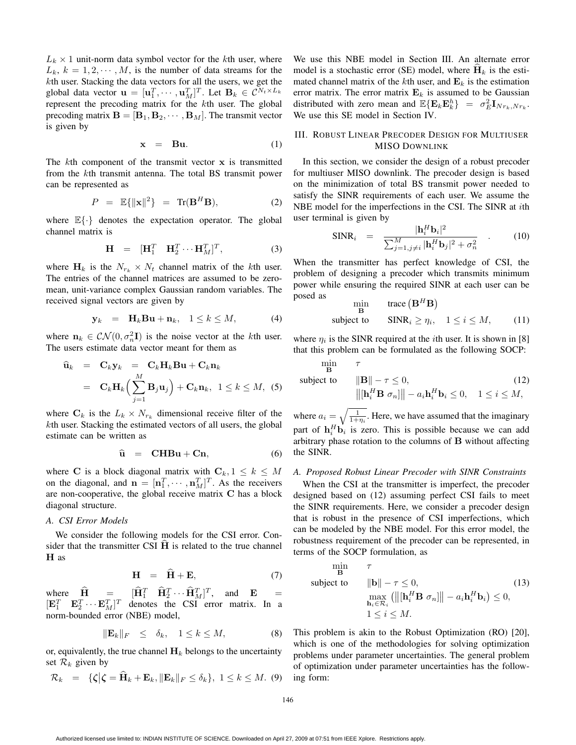$L_k \times 1$  unit-norm data symbol vector for the kth user, where  $L_k$ ,  $k = 1, 2, \dots, M$ , is the number of data streams for the kth user. Stacking the data vectors for all the users, we get the global data vector  $\mathbf{u} = [\mathbf{u}_1^T, \cdots, \mathbf{u}_M^T]^T$ . Let  $\mathbf{B}_k \in C^{N_t \times L_k}$ <br>represent the precoding matrix for the *k*th user. The global probal data vector  $\mathbf{u} = [\mathbf{u}_1, \dots, \mathbf{u}_M]$ . Extering  $\mathbf{b}_k \in \mathbb{C}$ <br>represent the precoding matrix for the kth user. The global<br>precoding matrix  $\mathbf{B} = [\mathbf{B}_1, \mathbf{B}_2, \dots, \mathbf{B}_M]$ . The transmit vector precoding matrix  $\mathbf{B} = [\mathbf{B}_1, \mathbf{B}_2, \cdots, \mathbf{B}_M]$ . The transmit vector is given by

$$
\mathbf{x} = \mathbf{B}\mathbf{u}.\tag{1}
$$

The kth component of the transmit vector **<sup>x</sup>** is transmitted from the kth transmit antenna. The total BS transmit power can be represented as

$$
P = \mathbb{E}\{||\mathbf{x}||^2\} = \text{Tr}(\mathbf{B}^H \mathbf{B}), \tag{2}
$$

where  $\mathbb{E}\{\cdot\}$  denotes the expectation operator. The global channel matrix is

$$
\mathbf{H} = [\mathbf{H}_1^T \quad \mathbf{H}_2^T \cdots \mathbf{H}_M^T]^T, \tag{3}
$$

where  $H_k$  is the  $N_{r_k} \times N_t$  channel matrix of the kth user. The entries of the channel matrices are assumed to be zeromean, unit-variance complex Gaussian random variables. The received signal vectors are given by

$$
\mathbf{y}_k = \mathbf{H}_k \mathbf{B} \mathbf{u} + \mathbf{n}_k, \quad 1 \le k \le M,\tag{4}
$$

where  $\mathbf{n}_k \in \mathcal{CN}(0, \sigma_n^2 \mathbf{I})$  is the noise vector at the *k*th user.<br>The users estimate data vector meant for them as The users estimate data vector meant for them as

$$
\begin{array}{rcl}\n\widehat{\mathbf{u}}_k & = & \mathbf{C}_k \mathbf{y}_k = & \mathbf{C}_k \mathbf{H}_k \mathbf{B} \mathbf{u} + \mathbf{C}_k \mathbf{n}_k \\
& = & \mathbf{C}_k \mathbf{H}_k \Big( \sum_{j=1}^M \mathbf{B}_j \mathbf{u}_j \Big) + \mathbf{C}_k \mathbf{n}_k, \ \ 1 \leq k \leq M, \ \ (5)\n\end{array}
$$

where  $C_k$  is the  $L_k \times N_{r_k}$  dimensional receive filter of the kth user. Stacking the estimated vectors of all users, the global estimate can be written as

$$
\widehat{\mathbf{u}} = \mathbf{CHBu} + \mathbf{Cn}, \tag{6}
$$

where **C** is a block diagonal matrix with  $C_k$ ,  $1 \leq k \leq M$ on the diagonal, and  $\mathbf{n} = [\mathbf{n}_1^T, \cdots, \mathbf{n}_M^T]^T$ . As the receivers are non-cooperative, the global receive matrix **C** has a block diagonal structure.

#### *A. CSI Error Models*

We consider the following models for the CSI error. Consider that the transmitter CSI  $\hat{H}$  is related to the true channel **H** as

$$
\mathbf{H} = \hat{\mathbf{H}} + \mathbf{E}, \tag{7}
$$

where  $\hat{\mathbf{H}} = [\hat{\mathbf{H}}_1^T \quad \hat{\mathbf{H}}_2^T \cdots \hat{\mathbf{H}}_M^T]^T$ , and  $\mathbf{E} = [\mathbf{H}_1^T \quad \mathbf{H}_2^T \cdots \mathbf{H}_M^T]^T$  $[\mathbf{E}_1^T \quad \mathbf{E}_2^T \cdots \mathbf{E}_M^T]^T$  denotes the CSI error matrix. In a norm-bounded error (NBE) model  $\begin{bmatrix} \mathbf{E}_1 & \mathbf{E}_2 & \cdots & \mathbf{E}_M \end{bmatrix}$  denotes the norm-bounded error (NBE) model,

$$
\|\mathbf{E}_k\|_F \quad \leq \quad \delta_k, \quad 1 \leq k \leq M,\tag{8}
$$

or, equivalently, the true channel  $H_k$  belongs to the uncertainty set  $\mathcal{R}_k$  given by

$$
\mathcal{R}_k = \{\boldsymbol{\zeta} \mid \boldsymbol{\zeta} = \widehat{\mathbf{H}}_k + \mathbf{E}_k, \|\mathbf{E}_k\|_F \le \delta_k\}, \ 1 \le k \le M. \tag{9}
$$

We use this NBE model in Section III. An alternate error model is a stochastic error (SE) model, where  $\hat{H}_k$  is the estimated channel matrix of the kth user, and  $\mathbf{E}_k$  is the estimation error matrix. The error matrix  $E_k$  is assumed to be Gaussian distributed with zero mean and  $\mathbb{E}\{\mathbf{E}_k\mathbf{E}_k^h\} = \sigma_E^2 \mathbf{I}_{Nr_k,Nr_k}$ .<br>We use this SE model in Section IV We use this SE model in Section IV.

## III. ROBUST LINEAR PRECODER DESIGN FOR MULTIUSER MISO DOWNLINK

In this section, we consider the design of a robust precoder for multiuser MISO downlink. The precoder design is based on the minimization of total BS transmit power needed to satisfy the SINR requirements of each user. We assume the NBE model for the imperfections in the CSI. The SINR at ith user terminal is given by

$$
\text{SINR}_i = \frac{|\mathbf{h}_i^H \mathbf{b}_i|^2}{\sum_{j=1, j \neq i}^M |\mathbf{h}_i^H \mathbf{b}_j|^2 + \sigma_n^2} \quad . \tag{10}
$$

When the transmitter has perfect knowledge of CSI, the problem of designing a precoder which transmits minimum power while ensuring the required SINR at each user can be posed as  $\mathbf{B}$ B

$$
\min_{\mathbf{B}} \text{trace} \left( \mathbf{B}^{H} \mathbf{B} \right)
$$
\n
$$
\text{subject to} \qquad \text{SINR}_{i} \ge \eta_{i}, \quad 1 \le i \le M, \tag{11}
$$

where  $\eta_i$  is the SINR required at the *i*th user. It is shown in [8] that this problem can be formulated as the following SOCP:

$$
\begin{array}{ll}\n\min \qquad & \tau \\
\text{subject to} & \|\mathbf{B}\| - \tau \le 0, \\
& \|\left[\mathbf{h}_i^H \mathbf{B} \; \sigma_n\right] \| - a_i \mathbf{h}_i^H \mathbf{b}_i \le 0, \quad 1 \le i \le M,\n\end{array} \tag{12}
$$

where  $a_i = \sqrt{\frac{1}{1+\eta_i}}$ . Here, we have assumed that the imaginary part of  $\mathbf{h}_i^H \mathbf{b}_i$  is zero. This is possible because we can add arbitrary phase rotation to the columns of **B** without affecting the SINR.

## *A. Proposed Robust Linear Precoder with SINR Constraints*

When the CSI at the transmitter is imperfect, the precoder designed based on (12) assuming perfect CSI fails to meet the SINR requirements. Here, we consider a precoder design that is robust in the presence of CSI imperfections, which can be modeled by the NBE model. For this error model, the robustness requirement of the precoder can be represented, in terms of the SOCP formulation, as

$$
\begin{array}{ll}\n\min_{\mathbf{B}} & \tau \\
\text{subject to} & \|\mathbf{b}\| - \tau \le 0, \\
& \max_{\mathbf{h}_i \in \mathcal{R}_i} \left( \left\| \left[ \mathbf{h}_i^H \mathbf{B} \; \sigma_n \right] \right\| - a_i \mathbf{h}_i^H \mathbf{b}_i \right) \le 0, \\
& 1 \le i \le M.\n\end{array} \tag{13}
$$

This problem is akin to the Robust Optimization (RO) [20], which is one of the methodologies for solving optimization problems under parameter uncertainties. The general problem of optimization under parameter uncertainties has the following form: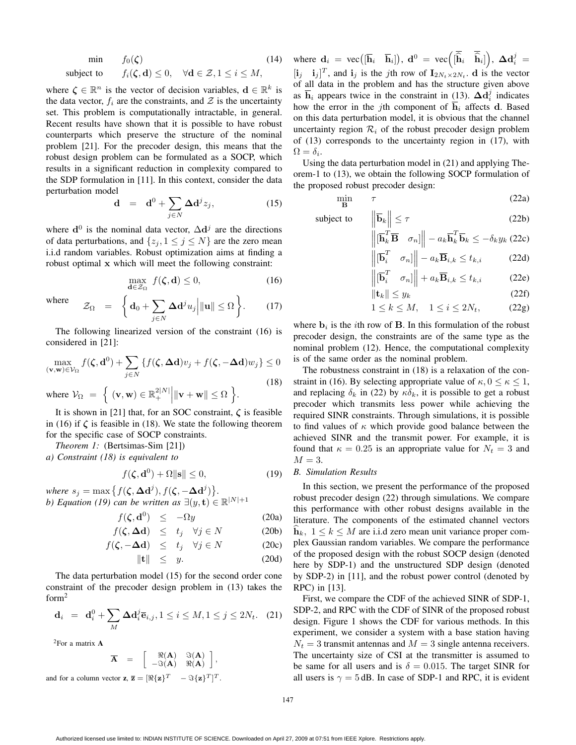$$
\begin{array}{ll}\n\text{min} & f_0(\zeta) & (14) \\
\text{subject to} & f_i(\zeta, \mathbf{d}) \le 0, \quad \forall \mathbf{d} \in \mathcal{Z}, 1 \le i \le M,\n\end{array}
$$

where  $\zeta \in \mathbb{R}^n$  is the vector of decision variables,  $\mathbf{d} \in \mathbb{R}^k$  is the data vector,  $f_i$  are the constraints, and  $\mathcal Z$  is the uncertainty set. This problem is computationally intractable, in general. Recent results have shown that it is possible to have robust counterparts which preserve the structure of the nominal problem [21]. For the precoder design, this means that the robust design problem can be formulated as a SOCP, which results in a significant reduction in complexity compared to the SDP formulation in [11]. In this context, consider the data perturbation model

$$
\mathbf{d} = \mathbf{d}^0 + \sum_{j \in N} \Delta \mathbf{d}^j z_j, \qquad (15)
$$

where  $\mathbf{d}^0$  is the nominal data vector,  $\Delta \mathbf{d}^j$  are the directions of data perturbations, and  $\{z_j, 1 \leq j \leq N\}$  are the zero mean i.i.d random variables. Robust optimization aims at finding a robust optimal **x** which will meet the following constraint:

$$
\max_{\mathbf{d}\in\mathcal{Z}_{\Omega}} f(\boldsymbol{\zeta}, \mathbf{d}) \le 0,\tag{16}
$$

where 
$$
\mathcal{Z}_{\Omega} = \left\{ \mathbf{d}_0 + \sum_{j \in N} \Delta \mathbf{d}^j u_j \middle| \|\mathbf{u}\| \leq \Omega \right\}.
$$
 (17)

The following linearized version of the constraint (16) is considered in [21]:

$$
\max_{(\mathbf{v}, \mathbf{w}) \in \mathcal{V}_{\Omega}} f(\zeta, \mathbf{d}^0) + \sum_{j \in N} \{ f(\zeta, \Delta \mathbf{d}) v_j + f(\zeta, -\Delta \mathbf{d}) w_j \} \le 0
$$
\n(18)

\nwhere 
$$
\mathcal{V}_{\Omega} = \int (\mathbf{v}, \mathbf{w}) \in \mathbb{R}^2 |N| |\mathbf{w} + \mathbf{w}| < O
$$

where  $V_{\Omega} = \left\{ (\mathbf{v}, \mathbf{w}) \in \mathbb{R}^{2|N|}_+ \middle\| \mathbf{v} + \mathbf{w} \middle\| \leq \Omega \right\}.$ It is shown in [21] that, for an SOC constraint,  $\zeta$  is feasible

in (16) if  $\zeta$  is feasible in (18). We state the following theorem for the specific case of SOCP constraints.

*Theorem 1:* (Bertsimas-Sim [21])

*a) Constraint (18) is equivalent to*

$$
f(\zeta, \mathbf{d}^0) + \Omega \|\mathbf{s}\| \le 0,\tag{19}
$$

*where*  $s_j = \max \{ f(\zeta, \Delta d^j), f(\zeta, -\Delta d^j) \}.$ <br> *h*) *Equation* (10) can be written as  $\exists (u, t) \in$ *b)* Equation (19) can be written as  $\exists (y, t) \in \mathbb{R}^{|N|+1}$ 

$$
f(\zeta, \mathbf{d}^0) \le -\Omega y \tag{20a}
$$

$$
f(\zeta, \Delta \mathbf{d}) \leq t_j \quad \forall j \in N \tag{20b}
$$

$$
f(\zeta, -\Delta \mathbf{d}) \leq t_j \quad \forall j \in N \tag{20c}
$$

$$
\|\mathbf{t}\| \leq y. \tag{20d}
$$

The data perturbation model (15) for the second order cone constraint of the precoder design problem in (13) takes the form2

$$
\mathbf{d}_i = \mathbf{d}_i^0 + \sum_{M} \Delta \mathbf{d}_i^j \overline{\mathbf{e}}_{i,j}, 1 \le i \le M, 1 \le j \le 2N_t. \tag{21}
$$

2For a matrix **A**

 $\overline{\mathbf{A}}$  =  $\begin{bmatrix} \Re(\mathbf{A}) & \Im(\mathbf{A}) \\ \Im(\mathbf{A}) & \Re(\mathbf{A}) \end{bmatrix}$  $-\Im(\mathbf{A}) \quad \Re(\mathbf{A})$  $\vert$  , and for a column vector **z**,  $\overline{\mathbf{z}} = [\Re{\mathbf{z}}]^T$  –  $\Im{\mathbf{z}}[\mathbf{z}]^T]^T$ .

where  $\mathbf{d}_i = \text{vec}([\overline{\mathbf{h}}_i \ \overline{\mathbf{h}}_i]), \ \mathbf{d}^0 = \text{vec}([\overline{\hat{\mathbf{h}}}_i \ \overline{\hat{\mathbf{h}}}_i])$  $\Big), \ \Delta \mathbf{d}_i^j =$  $[\mathbf{i}_j \quad \mathbf{i}_j]^T$ , and  $\mathbf{i}_j$  is the *j*th row of  $\mathbf{I}_{2N_t \times 2N_t}$ . **d** is the vector of all data in the problem and has the structure given above of all data in the problem and has the structure given above as  $\overline{\mathbf{h}}_i$  appears twice in the constraint in (13).  $\Delta \overline{\mathbf{d}}_i^j$  indicates how the error in the jth component of  $h_i$  affects **d**. Based on this data perturbation model, it is obvious that the channel uncertainty region  $\mathcal{R}_i$  of the robust precoder design problem of (13) corresponds to the uncertainty region in (17), with  $\Omega = \delta_i.$ 

Using the data perturbation model in (21) and applying Theorem-1 to (13), we obtain the following SOCP formulation of the proposed robust precoder design:

$$
\min_{\mathbf{B}} \quad \tau \tag{22a}
$$

subject to

 $\|\overline{\mathbf{b}}_k\| \leq \tau$  (22b)<br>  $\|\overline{\mathbf{h}}_k^T \overline{\mathbf{B}} \quad \sigma_n\| \ - a_k \overline{\mathbf{h}}_k^T \overline{\mathbf{b}}_k \leq -\delta_k y_k$  (22c)<br>  $\|\overline{\mathbf{b}}_i^T \quad \sigma_n\| \ - a_k \overline{\mathbf{B}}_{i,k} \leq t_{k,i}$  (22d)

$$
\left\| \begin{bmatrix} \overline{\mathbf{b}}_i^T & \sigma_n \end{bmatrix} \right\| - a_k \overline{\mathbf{B}}_{i,k} \le t_{k,i} \tag{22d}
$$

$$
\left\| \begin{bmatrix} \overline{\mathbf{b}}_i^T & \sigma_n \end{bmatrix} \right\| + a_k \overline{\mathbf{B}}_{i,k} \le t_{k,i} \tag{22e}
$$

$$
||\mathbf{t}_k|| \le y_k
$$
\n
$$
1 \le k \le M, \quad 1 \le i \le 2N_t,
$$
\n
$$
(22f)
$$
\n
$$
(22g)
$$

where  $\mathbf{b}_i$  is the *i*th row of **B**. In this formulation of the robust precoder design, the constraints are of the same type as the nominal problem (12). Hence, the computational complexity is of the same order as the nominal problem.

The robustness constraint in (18) is a relaxation of the constraint in (16). By selecting appropriate value of  $\kappa$ ,  $0 \leq \kappa \leq 1$ , and replacing  $\delta_k$  in (22) by  $\kappa \delta_k$ , it is possible to get a robust precoder which transmits less power while achieving the required SINR constraints. Through simulations, it is possible to find values of  $\kappa$  which provide good balance between the achieved SINR and the transmit power. For example, it is found that  $\kappa = 0.25$  is an appropriate value for  $N_t = 3$  and  $M = 3$ .

#### *B. Simulation Results*

In this section, we present the performance of the proposed robust precoder design (22) through simulations. We compare this performance with other robust designs available in the literature. The components of the estimated channel vectors  $\hat{\mathbf{h}}_k$ ,  $1 \le k \le M$  are i.i.d zero mean unit variance proper com-<br>plex Gaussian random variables. We compare the performance plex Gaussian random variables. We compare the performance of the proposed design with the robust SOCP design (denoted here by SDP-1) and the unstructured SDP design (denoted by SDP-2) in [11], and the robust power control (denoted by RPC) in [13].

First, we compare the CDF of the achieved SINR of SDP-1, SDP-2, and RPC with the CDF of SINR of the proposed robust design. Figure 1 shows the CDF for various methods. In this experiment, we consider a system with a base station having  $N_t = 3$  transmit antennas and  $M = 3$  single antenna receivers. The uncertainty size of CSI at the transmitter is assumed to be same for all users and is  $\delta = 0.015$ . The target SINR for all users is  $\gamma = 5$  dB. In case of SDP-1 and RPC, it is evident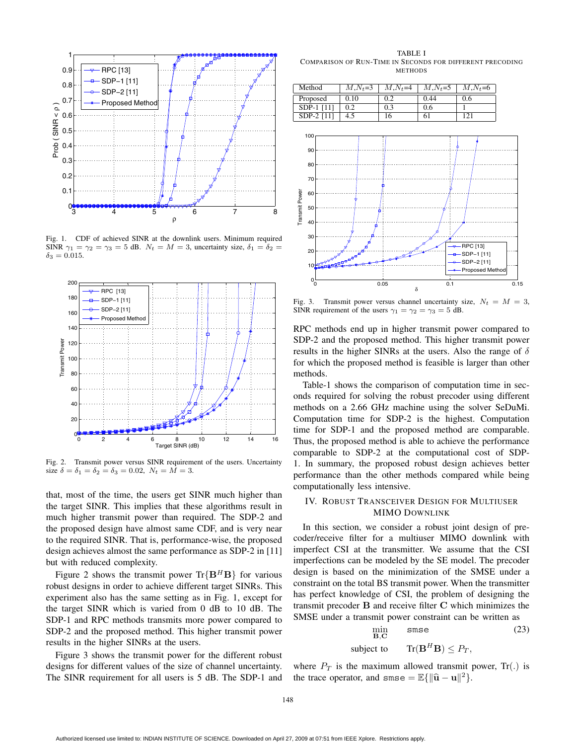

Fig. 1. CDF of achieved SINR at the downlink users. Minimum required SINR  $\gamma_1 = \gamma_2 = \gamma_3 = 5$  dB.  $N_t = M = 3$ , uncertainty size,  $\delta_1 = \delta_2 =$  $\delta_3 = 0.015$ .



Fig. 2. Transmit power versus SINR requirement of the users. Uncertainty size  $\delta = \delta_1 = \delta_2 = \delta_3 = 0.02$ ,  $N_t = M = 3$ .

that, most of the time, the users get SINR much higher than the target SINR. This implies that these algorithms result in much higher transmit power than required. The SDP-2 and the proposed design have almost same CDF, and is very near to the required SINR. That is, performance-wise, the proposed design achieves almost the same performance as SDP-2 in [11] but with reduced complexity.

Figure 2 shows the transmit power  $\text{Tr}\{\mathbf{B}^H\mathbf{B}\}\$  for various robust designs in order to achieve different target SINRs. This experiment also has the same setting as in Fig. 1, except for the target SINR which is varied from 0 dB to 10 dB. The SDP-1 and RPC methods transmits more power compared to SDP-2 and the proposed method. This higher transmit power results in the higher SINRs at the users.

Figure 3 shows the transmit power for the different robust designs for different values of the size of channel uncertainty. The SINR requirement for all users is 5 dB. The SDP-1 and

TABLE I COMPARISON OF RUN-TIME IN SECONDS FOR DIFFERENT PRECODING **METHODS** 

| Method       | $M, N_t = 3$ | $M, N_t = 4$ | $M, N_t = 5$ | $M, N_t = 6$ |
|--------------|--------------|--------------|--------------|--------------|
| Proposed     | 0.10         | 0.2          | 0.44         | 0.6          |
| SDP-1 [11]   | 0.2          | 0.3          | 0.6          |              |
| $SDP-2$ [11] |              | 16           | $^{0}$       | 12.          |



Fig. 3. Transmit power versus channel uncertainty size,  $N_t = M = 3$ , SINR requirement of the users  $\gamma_1 = \gamma_2 = \gamma_3 = 5$  dB.

RPC methods end up in higher transmit power compared to SDP-2 and the proposed method. This higher transmit power results in the higher SINRs at the users. Also the range of  $\delta$ for which the proposed method is feasible is larger than other methods.

Table-1 shows the comparison of computation time in seconds required for solving the robust precoder using different methods on a 2.66 GHz machine using the solver SeDuMi. Computation time for SDP-2 is the highest. Computation time for SDP-1 and the proposed method are comparable. Thus, the proposed method is able to achieve the performance comparable to SDP-2 at the computational cost of SDP-1. In summary, the proposed robust design achieves better performance than the other methods compared while being computationally less intensive.

## IV. ROBUST TRANSCEIVER DESIGN FOR MULTIUSER MIMO DOWNLINK

In this section, we consider a robust joint design of precoder/receive filter for a multiuser MIMO downlink with imperfect CSI at the transmitter. We assume that the CSI imperfections can be modeled by the SE model. The precoder design is based on the minimization of the SMSE under a constraint on the total BS transmit power. When the transmitter has perfect knowledge of CSI, the problem of designing the transmit precoder **B** and receive filter **C** which minimizes the SMSE under a transmit power constraint can be written as

$$
\min_{\mathbf{B}, \mathbf{C}} \quad \text{smse} \tag{23}
$$

subject to 
$$
\text{Tr}(\mathbf{B}^H \mathbf{B}) \leq P_T,
$$

where  $P_T$  is the maximum allowed transmit power,  $Tr(.)$  is the trace operator, and  $\text{smse} = \mathbb{E}\{\|\hat{\mathbf{u}} - \mathbf{u}\|^2\}.$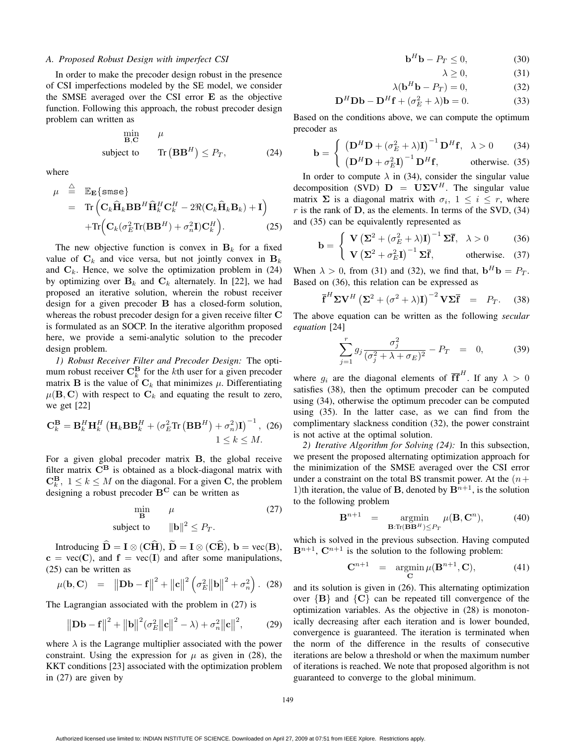#### *A. Proposed Robust Design with imperfect CSI*

In order to make the precoder design robust in the presence of CSI imperfections modeled by the SE model, we consider the SMSE averaged over the CSI error **E** as the objective function. Following this approach, the robust precoder design problem can written as

$$
\min_{\mathbf{B}, \mathbf{C}} \quad \mu
$$
\n
$$
\text{subject to} \quad \text{Tr}(\mathbf{B} \mathbf{B}^H) \le P_T,\tag{24}
$$

where

$$
\mu \stackrel{\triangle}{=} \mathbb{E}_{\mathbf{E}} \{ \text{smse} \}
$$
\n
$$
= \text{Tr} \left( \mathbf{C}_k \hat{\mathbf{H}}_k \mathbf{B} \mathbf{B}^H \hat{\mathbf{H}}_k^H \mathbf{C}_k^H - 2 \Re(\mathbf{C}_k \hat{\mathbf{H}}_k \mathbf{B}_k) + \mathbf{I} \right)
$$
\n
$$
+ \text{Tr} \left( \mathbf{C}_k (\sigma_E^2 \text{Tr}(\mathbf{B} \mathbf{B}^H) + \sigma_n^2 \mathbf{I}) \mathbf{C}_k^H \right). \tag{25}
$$

The new objective function is convex in  $B_k$  for a fixed value of  $C_k$  and vice versa, but not jointly convex in  $B_k$ and  $\mathbf{C}_k$ . Hence, we solve the optimization problem in (24) by optimizing over  $B_k$  and  $C_k$  alternately. In [22], we had proposed an iterative solution, wherein the robust receiver design for a given precoder **B** has a closed-form solution, whereas the robust precoder design for a given receive filter **C** is formulated as an SOCP. In the iterative algorithm proposed here, we provide a semi-analytic solution to the precoder design problem.

*1) Robust Receiver Filter and Precoder Design:* The optimum robust receiver  $\mathbf{C}_k^{\mathbf{B}}$  for the kth user for a given precoder matrix  $\mathbf{B}$  is the value of  $\mathbf{C}_k$ , that minimizes u. Differentiating matrix **B** is the value of  $C_k$  that minimizes  $\mu$ . Differentiating  $\mu(\mathbf{B}, \mathbf{C})$  with respect to  $\mathbf{C}_k$  and equating the result to zero, we get [22]

$$
\mathbf{C}_{k}^{\mathbf{B}} = \mathbf{B}_{k}^{H} \mathbf{H}_{k}^{H} \left( \mathbf{H}_{k} \mathbf{B} \mathbf{B}_{k}^{H} + (\sigma_{E}^{2} \text{Tr} \left( \mathbf{B} \mathbf{B}^{H} \right) + \sigma_{n}^{2} ) \mathbf{I} \right)^{-1}, (26)
$$
  
 $1 \leq k \leq M.$ 

For a given global precoder matrix **B**, the global receive filter matrix **C<sup>B</sup>** is obtained as a block-diagonal matrix with  $\mathbf{C}_{k}^{\mathbf{B}}, 1 \leq k \leq M$  on the diagonal. For a given **C**, the problem designing a robust precoder  $\mathbf{R}^{\mathbf{C}}$  can be written as designing a robust precoder **B<sup>C</sup>** can be written as

$$
\min_{\mathbf{B}} \quad \mu \tag{27}
$$
\n
$$
\text{subject to} \quad \|\mathbf{b}\|^2 \le P_T. \tag{27}
$$

Introducing  $\widehat{\mathbf{D}} = \mathbf{I} \otimes (\mathbf{C}\widehat{\mathbf{H}}), \widetilde{\mathbf{D}} = \mathbf{I} \otimes (\mathbf{C}\widehat{\mathbf{E}}), \mathbf{b} = \text{vec}(\mathbf{B}),$ <br>  $\mathbf{D} = \text{vec}(\mathbf{C})$  and  $\mathbf{f} = \text{vec}(\mathbf{I})$  and after some manipulations  $c = vec(C)$ , and  $f = vec(I)$  and after some manipulations, (25) can be written as

$$
\mu(\mathbf{b}, \mathbf{C}) = \|\mathbf{D}\mathbf{b} - \mathbf{f}\|^2 + \|\mathbf{c}\|^2 \left(\sigma_E^2 \|\mathbf{b}\|^2 + \sigma_n^2\right). (28)
$$

The Lagrangian associated with the problem in (27) is

$$
\|\mathbf{Db} - \mathbf{f}\|^2 + \|\mathbf{b}\|^2 (\sigma_E^2 \|\mathbf{c}\|^2 - \lambda) + \sigma_n^2 \|\mathbf{c}\|^2, \tag{29}
$$

where  $\lambda$  is the Lagrange multiplier associated with the power constraint. Using the expression for  $\mu$  as given in (28), the KKT conditions [23] associated with the optimization problem in (27) are given by

$$
\mathbf{b}^H \mathbf{b} - P_T \le 0,\tag{30}
$$

$$
\lambda \ge 0,\tag{31}
$$

$$
\lambda (\mathbf{b}^H \mathbf{b} - P_T) = 0, \tag{32}
$$

$$
\mathbf{D}^{H}\mathbf{D}\mathbf{b} - \mathbf{D}^{H}\mathbf{f} + (\sigma_{E}^{2} + \lambda)\mathbf{b} = 0.
$$
 (33)

Based on the conditions above, we can compute the optimum precoder as

$$
\mathbf{b} = \begin{cases} \left(\mathbf{D}^H \mathbf{D} + (\sigma_E^2 + \lambda)\mathbf{I}\right)^{-1} \mathbf{D}^H \mathbf{f}, & \lambda > 0 \quad (34) \\ \left(\mathbf{D}^H \mathbf{D} + \sigma_E^2 \mathbf{I}\right)^{-1} \mathbf{D}^H \mathbf{f}, & \text{otherwise.} \quad (35) \end{cases}
$$

In order to compute  $\lambda$  in (34), consider the singular value decomposition (SVD)  $D = U\Sigma V^H$ . The singular value matrix  $\Sigma$  is a diagonal matrix with  $\sigma_i$ ,  $1 \leq i \leq r$ , where  $r$  is the rank of  $D$ , as the elements. In terms of the SVD,  $(34)$ and (35) can be equivalently represented as

$$
\mathbf{b} = \begin{cases} \mathbf{V} \left( \Sigma^2 + (\sigma_E^2 + \lambda) \mathbf{I} \right)^{-1} \Sigma \overline{\mathbf{f}}, & \lambda > 0 \quad (36) \\ \mathbf{V} \left( \Sigma^2 + \sigma_E^2 \mathbf{I} \right)^{-1} \Sigma \overline{\mathbf{f}}, & \text{otherwise.} \quad (37) \end{cases}
$$

When  $\lambda > 0$ , from (31) and (32), we find that,  $\mathbf{b}^H \mathbf{b} = P_T$ .<br>Based on (36), this relation can be expressed as Based on (36), this relation can be expressed as

$$
\overline{\mathbf{f}}^H \Sigma \mathbf{V}^H \left( \Sigma^2 + (\sigma^2 + \lambda) \mathbf{I} \right)^{-2} \mathbf{V} \Sigma \overline{\mathbf{f}} = P_T. \quad (38)
$$

The above equation can be written as the following *secular equation* [24]

$$
\sum_{j=1}^{r} g_j \frac{\sigma_j^2}{(\sigma_j^2 + \lambda + \sigma_E)^2} - P_T = 0, \quad (39)
$$

where  $g_i$  are the diagonal elements of  $\overline{ff}^H$ . If any  $\lambda > 0$ satisfies (38), then the optimum precoder can be computed using (34), otherwise the optimum precoder can be computed using (35). In the latter case, as we can find from the complimentary slackness condition (32), the power constraint is not active at the optimal solution.

*2) Iterative Algorithm for Solving (24):* In this subsection, we present the proposed alternating optimization approach for the minimization of the SMSE averaged over the CSI error under a constraint on the total BS transmit power. At the  $(n+$ 1)th iteration, the value of **B**, denoted by  $\mathbf{B}^{n+1}$ , is the solution to the following problem

$$
\mathbf{B}^{n+1} = \operatorname*{argmin}_{\mathbf{B}: \text{Tr}(\mathbf{B}\mathbf{B}^H) \le P_T} \mu(\mathbf{B}, \mathbf{C}^n), \tag{40}
$$

which is solved in the previous subsection. Having computed  $\mathbf{B}^{n+1}$ ,  $\mathbf{C}^{n+1}$  is the solution to the following problem:

$$
\mathbf{C}^{n+1} = \operatorname*{argmin}_{\mathbf{C}} \mu(\mathbf{B}^{n+1}, \mathbf{C}), \tag{41}
$$

and its solution is given in (26). This alternating optimization over  ${B}$  and  ${C}$  can be repeated till convergence of the optimization variables. As the objective in (28) is monotonically decreasing after each iteration and is lower bounded, convergence is guaranteed. The iteration is terminated when the norm of the difference in the results of consecutive iterations are below a threshold or when the maximum number of iterations is reached. We note that proposed algorithm is not guaranteed to converge to the global minimum.